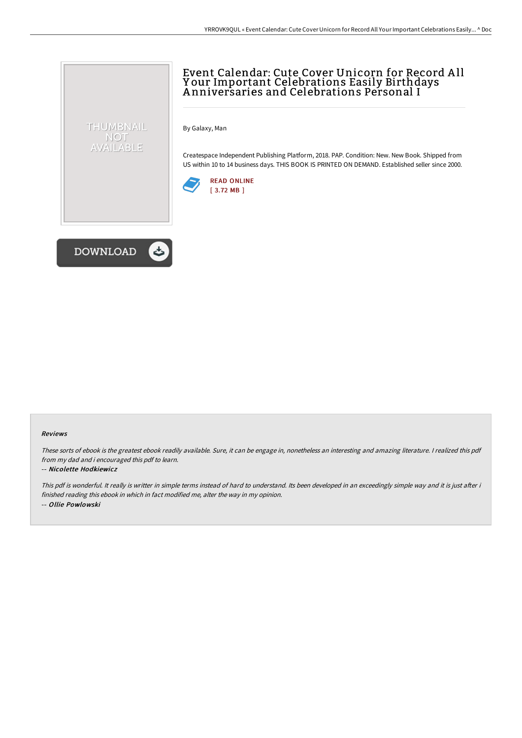## Event Calendar: Cute Cover Unicorn for Record A ll Y our Important Celebrations Easily Birthdays A nniversaries and Celebrations Personal I

By Galaxy, Man

Createspace Independent Publishing Platform, 2018. PAP. Condition: New. New Book. Shipped from US within 10 to 14 business days. THIS BOOK IS PRINTED ON DEMAND. Established seller since 2000.





THUMBNAIL NOT AVAILABLE

## Reviews

These sorts of ebook is the greatest ebook readily available. Sure, it can be engage in, nonetheless an interesting and amazing literature. <sup>I</sup> realized this pdf from my dad and i encouraged this pdf to learn.

## -- Nicolette Hodkiewicz

This pdf is wonderful. It really is writter in simple terms instead of hard to understand. Its been developed in an exceedingly simple way and it is just after i finished reading this ebook in which in fact modified me, alter the way in my opinion. -- Ollie Powlowski